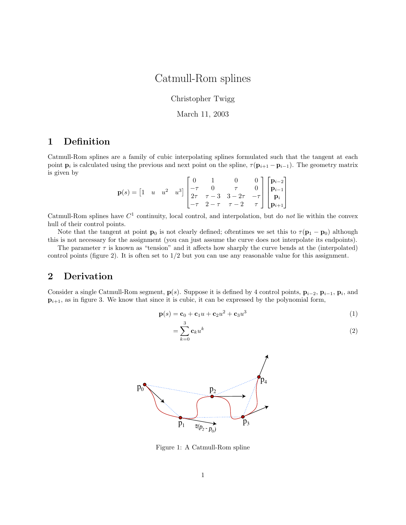## Catmull-Rom splines

Christopher Twigg

March 11, 2003

## 1 Definition

Catmull-Rom splines are a family of cubic interpolating splines formulated such that the tangent at each point  $\mathbf{p}_i$  is calculated using the previous and next point on the spline,  $\tau(\mathbf{p}_{i+1} - \mathbf{p}_{i-1})$ . The geometry matrix is given by

$$
\mathbf{p}(s) = \begin{bmatrix} 1 & u & u^2 & u^3 \end{bmatrix} \begin{bmatrix} 0 & 1 & 0 & 0 \\ -\tau & 0 & \tau & 0 \\ 2\tau & \tau - 3 & 3 - 2\tau & -\tau \\ -\tau & 2 - \tau & \tau - 2 & \tau \end{bmatrix} \begin{bmatrix} \mathbf{p}_{i-2} \\ \mathbf{p}_{i-1} \\ \mathbf{p}_i \\ \mathbf{p}_{i+1} \end{bmatrix}
$$

Catmull-Rom splines have  $C<sup>1</sup>$  continuity, local control, and interpolation, but do not lie within the convex hull of their control points.

Note that the tangent at point  $\mathbf{p}_0$  is not clearly defined; oftentimes we set this to  $\tau(\mathbf{p}_1 - \mathbf{p}_0)$  although this is not necessary for the assignment (you can just assume the curve does not interpolate its endpoints).

The parameter  $\tau$  is known as "tension" and it affects how sharply the curve bends at the (interpolated) control points (figure 2). It is often set to  $1/2$  but you can use any reasonable value for this assignment.

## 2 Derivation

Consider a single Catmull-Rom segment,  $p(s)$ . Suppose it is defined by 4 control points,  $p_{i-2}$ ,  $p_{i-1}$ ,  $p_i$ , and  $\mathbf{p}_{i+1}$ , as in figure 3. We know that since it is cubic, it can be expressed by the polynomial form,

$$
\mathbf{p}(s) = \mathbf{c}_0 + \mathbf{c}_1 u + \mathbf{c}_2 u^2 + \mathbf{c}_3 u^3 \tag{1}
$$

$$
=\sum_{k=0}^{3} \mathbf{c}_k u^k \tag{2}
$$



Figure 1: A Catmull-Rom spline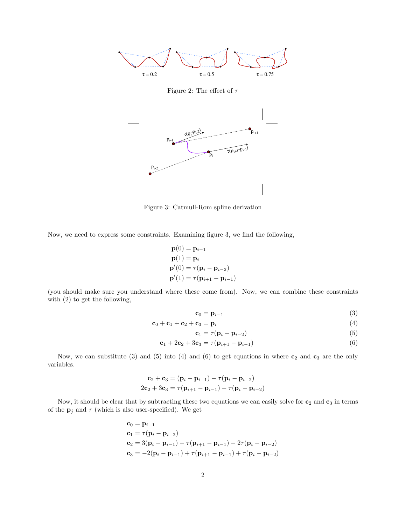

Figure 2: The effect of  $\tau$ 



Figure 3: Catmull-Rom spline derivation

Now, we need to express some constraints. Examining figure 3, we find the following,

$$
\mathbf{p}(0) = \mathbf{p}_{i-1} \n\mathbf{p}(1) = \mathbf{p}_i \n\mathbf{p}'(0) = \tau(\mathbf{p}_i - \mathbf{p}_{i-2}) \n\mathbf{p}'(1) = \tau(\mathbf{p}_{i+1} - \mathbf{p}_{i-1})
$$

(you should make sure you understand where these come from). Now, we can combine these constraints with (2) to get the following,

$$
\mathbf{c}_0 = \mathbf{p}_{i-1} \tag{3}
$$

$$
\mathbf{c}_0 + \mathbf{c}_1 + \mathbf{c}_2 + \mathbf{c}_3 = \mathbf{p}_i \tag{4}
$$

$$
\mathbf{c}_1 = \tau (\mathbf{p}_i - \mathbf{p}_{i-2}) \tag{5}
$$

$$
\mathbf{c}_1 + 2\mathbf{c}_2 + 3\mathbf{c}_3 = \tau(\mathbf{p}_{i+1} - \mathbf{p}_{i-1})
$$
\n(6)

Now, we can substitute (3) and (5) into (4) and (6) to get equations in where  $c_2$  and  $c_3$  are the only variables.

$$
\mathbf{c}_2 + \mathbf{c}_3 = (\mathbf{p}_i - \mathbf{p}_{i-1}) - \tau(\mathbf{p}_i - \mathbf{p}_{i-2})
$$
  
2 $\mathbf{c}_2 + 3\mathbf{c}_3 = \tau(\mathbf{p}_{i+1} - \mathbf{p}_{i-1}) - \tau(\mathbf{p}_i - \mathbf{p}_{i-2})$ 

Now, it should be clear that by subtracting these two equations we can easily solve for  $c_2$  and  $c_3$  in terms of the  $\mathbf{p}_j$  and  $\tau$  (which is also user-specified). We get

$$
c_0 = \mathbf{p}_{i-1}
$$
  
\n
$$
c_1 = \tau(\mathbf{p}_i - \mathbf{p}_{i-2})
$$
  
\n
$$
c_2 = 3(\mathbf{p}_i - \mathbf{p}_{i-1}) - \tau(\mathbf{p}_{i+1} - \mathbf{p}_{i-1}) - 2\tau(\mathbf{p}_i - \mathbf{p}_{i-2})
$$
  
\n
$$
c_3 = -2(\mathbf{p}_i - \mathbf{p}_{i-1}) + \tau(\mathbf{p}_{i+1} - \mathbf{p}_{i-1}) + \tau(\mathbf{p}_i - \mathbf{p}_{i-2})
$$